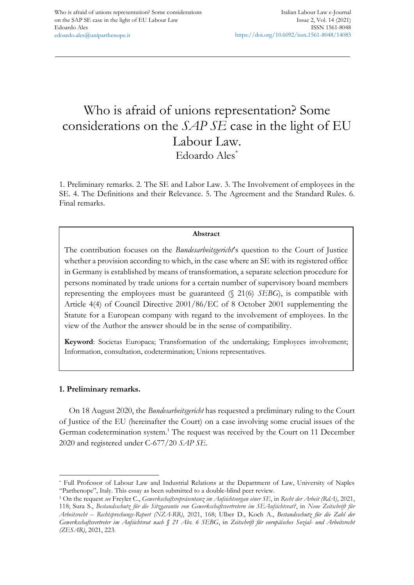# Who is afraid of unions representation? Some considerations on the *SAP SE* case in the light of EU Labour Law. Edoardo Ales\*

1. Preliminary remarks. 2. The SE and Labor Law. 3. The Involvement of employees in the SE. 4. The Definitions and their Relevance. 5. The Agreement and the Standard Rules. 6. Final remarks.

### **Abstract**

The contribution focuses on the *Bundesarbeitsgericht*'s question to the Court of Justice whether a provision according to which, in the case where an SE with its registered office in Germany is established by means of transformation, a separate selection procedure for persons nominated by trade unions for a certain number of supervisory board members representing the employees must be guaranteed (§ 21(6) *SEBG*), is compatible with Article 4(4) of Council Directive 2001/86/EC of 8 October 2001 supplementing the Statute for a European company with regard to the involvement of employees. In the view of the Author the answer should be in the sense of compatibility.

**Keyword**: Societas Europaea; Transformation of the undertaking; Employees involvement; Information, consultation, codetermination; Unions representatives.

## **1. Preliminary remarks.**

On 18 August 2020, the *Bundesarbeitsgericht* has requested a preliminary ruling to the Court of Justice of the EU (hereinafter the Court) on a case involving some crucial issues of the German codetermination system.<sup>1</sup> The request was received by the Court on 11 December 2020 and registered under C-677/20 *SAP SE*.

<sup>\*</sup> Full Professor of Labour Law and Industrial Relations at the Department of Law, University of Naples "Parthenope", Italy. This essay as been submitted to a double-blind peer review.

<sup>1</sup> On the request *see* Freyler C., *Gewerkschaftsrepräsentanz im Aufsichtsorgan einer SE*, in *Recht der Arbeit (RdA)*, 2021,

<sup>118;</sup> Sura S., *Bestandsschutz für die Sitzgarantie von Gewerkschaftsvertretern im SEAufsichtsrat?*, in *Neue Zeitschrift für Arbeitsrecht – Rechtsprechungs-Report (NZA-RR)*, 2021, 168; Ulber D., Koch A., *Bestandsschutz für die Zahl der Gewerkschaftsvertreter im Aufsichtsrat nach § 21 Abs. 6 SEBG*, in *Zeitschrift für europäisches Sozial- und Arbeitsrecht (ZESAR)*, 2021, 223.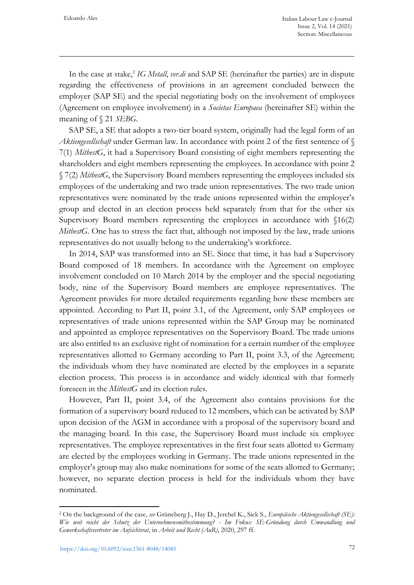In the case at stake,<sup>2</sup> IG Metall, ver.di and SAP SE (hereinafter the parties) are in dispute regarding the effectiveness of provisions in an agreement concluded between the employer (SAP SE) and the special negotiating body on the involvement of employees (Agreement on employee involvement) in a *Societas Europaea* (hereinafter SE) within the meaning of § 21 *SEBG*.

SAP SE, a SE that adopts a two-tier board system, originally had the legal form of an *Aktiengesellschaft* under German law. In accordance with point 2 of the first sentence of § 7(1) *MitbestG*, it had a Supervisory Board consisting of eight members representing the shareholders and eight members representing the employees. In accordance with point 2 § 7(2) *MitbestG*, the Supervisory Board members representing the employees included six employees of the undertaking and two trade union representatives. The two trade union representatives were nominated by the trade unions represented within the employer's group and elected in an election process held separately from that for the other six Supervisory Board members representing the employees in accordance with  $\{16(2)\}$ *MitbestG*. One has to stress the fact that, although not imposed by the law, trade unions representatives do not usually belong to the undertaking's workforce.

In 2014, SAP was transformed into an SE. Since that time, it has had a Supervisory Board composed of 18 members. In accordance with the Agreement on employee involvement concluded on 10 March 2014 by the employer and the special negotiating body, nine of the Supervisory Board members are employee representatives. The Agreement provides for more detailed requirements regarding how these members are appointed. According to Part II, point 3.1, of the Agreement, only SAP employees or representatives of trade unions represented within the SAP Group may be nominated and appointed as employee representatives on the Supervisory Board. The trade unions are also entitled to an exclusive right of nomination for a certain number of the employee representatives allotted to Germany according to Part II, point 3.3, of the Agreement; the individuals whom they have nominated are elected by the employees in a separate election process. This process is in accordance and widely identical with that formerly foreseen in the *MitbestG* and its election rules.

However, Part II, point 3.4, of the Agreement also contains provisions for the formation of a supervisory board reduced to 12 members, which can be activated by SAP upon decision of the AGM in accordance with a proposal of the supervisory board and the managing board. In this case, the Supervisory Board must include six employee representatives. The employee representatives in the first four seats allotted to Germany are elected by the employees working in Germany. The trade unions represented in the employer's group may also make nominations for some of the seats allotted to Germany; however, no separate election process is held for the individuals whom they have nominated.

<sup>2</sup> On the background of the case, *see* Grüneberg J., Hay D., Jerchel K., Sick S., *Europäische Aktiengesellschaft (SE): Wie weit reicht der Schutz der Unternehmensmitbestimmung? - Im Fokus: SE-Gründung durch Umwandlung und Gewerkschaftsvertreter im Aufsichtsrat*, in *Arbeit und Recht (AuR)*, 2020, 297 ff.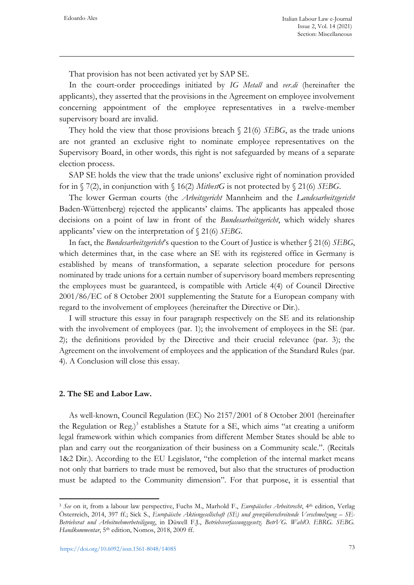That provision has not been activated yet by SAP SE.

In the court-order proceedings initiated by *IG Metall* and *ver.di* (hereinafter the applicants), they asserted that the provisions in the Agreement on employee involvement concerning appointment of the employee representatives in a twelve-member supervisory board are invalid.

They hold the view that those provisions breach § 21(6) *SEBG*, as the trade unions are not granted an exclusive right to nominate employee representatives on the Supervisory Board, in other words, this right is not safeguarded by means of a separate election process.

SAP SE holds the view that the trade unions' exclusive right of nomination provided for in § 7(2), in conjunction with § 16(2) *MitbestG* is not protected by § 21(6) *SEBG*.

The lower German courts (the *Arbeitsgericht* Mannheim and the *Landesarbeitsgericht* Baden-Wüttenberg) rejected the applicants' claims. The applicants has appealed those decisions on a point of law in front of the *Bundesarbeitsgericht*, which widely shares applicants' view on the interpretation of § 21(6) *SEBG*.

In fact, the *Bundesarbeitsgericht*'s question to the Court of Justice is whether § 21(6) *SEBG*, which determines that, in the case where an SE with its registered office in Germany is established by means of transformation, a separate selection procedure for persons nominated by trade unions for a certain number of supervisory board members representing the employees must be guaranteed, is compatible with Article 4(4) of Council Directive 2001/86/EC of 8 October 2001 supplementing the Statute for a European company with regard to the involvement of employees (hereinafter the Directive or Dir.).

I will structure this essay in four paragraph respectively on the SE and its relationship with the involvement of employees (par. 1); the involvement of employees in the SE (par. 2); the definitions provided by the Directive and their crucial relevance (par. 3); the Agreement on the involvement of employees and the application of the Standard Rules (par. 4). A Conclusion will close this essay.

### **2. The SE and Labor Law.**

As well-known, Council Regulation (EC) No 2157/2001 of 8 October 2001 (hereinafter the Regulation or Reg.)<sup>3</sup> establishes a Statute for a SE, which aims "at creating a uniform legal framework within which companies from different Member States should be able to plan and carry out the reorganization of their business on a Community scale.". (Recitals 1&2 Dir.). According to the EU Legislator, "the completion of the internal market means not only that barriers to trade must be removed, but also that the structures of production must be adapted to the Community dimension". For that purpose, it is essential that

<sup>3</sup> *See* on it, from a labour law perspective, Fuchs M., Marhold F., *Europäisches Arbeitsrecht*, 4th edition, Verlag Österreich, 2014, 397 ff.; Sick S., *Europäische Aktiengesellschaft (SE) und grenzüberschreitende Verschmelzung – SE-Betriebsrat und Arbeitnehmerbeteiligung*, in Düwell F.J., *Betriebsverfassungsgesetz. BetrVG. WahlO. EBRG. SEBG. Handkommentar*, 5th edition, Nomos, 2018, 2009 ff.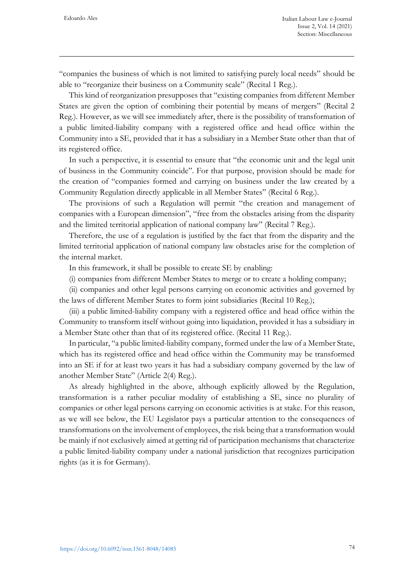"companies the business of which is not limited to satisfying purely local needs" should be able to "reorganize their business on a Community scale" (Recital 1 Reg.).

This kind of reorganization presupposes that "existing companies from different Member States are given the option of combining their potential by means of mergers" (Recital 2 Reg.). However, as we will see immediately after, there is the possibility of transformation of a public limited-liability company with a registered office and head office within the Community into a SE, provided that it has a subsidiary in a Member State other than that of its registered office.

In such a perspective, it is essential to ensure that "the economic unit and the legal unit of business in the Community coincide". For that purpose, provision should be made for the creation of "companies formed and carrying on business under the law created by a Community Regulation directly applicable in all Member States" (Recital 6 Reg.).

The provisions of such a Regulation will permit "the creation and management of companies with a European dimension", "free from the obstacles arising from the disparity and the limited territorial application of national company law" (Recital 7 Reg.).

Therefore, the use of a regulation is justified by the fact that from the disparity and the limited territorial application of national company law obstacles arise for the completion of the internal market.

In this framework, it shall be possible to create SE by enabling:

(i) companies from different Member States to merge or to create a holding company;

(ii) companies and other legal persons carrying on economic activities and governed by the laws of different Member States to form joint subsidiaries (Recital 10 Reg.);

(iii) a public limited-liability company with a registered office and head office within the Community to transform itself without going into liquidation, provided it has a subsidiary in a Member State other than that of its registered office. (Recital 11 Reg.).

In particular, "a public limited-liability company, formed under the law of a Member State, which has its registered office and head office within the Community may be transformed into an SE if for at least two years it has had a subsidiary company governed by the law of another Member State" (Article 2(4) Reg.).

As already highlighted in the above, although explicitly allowed by the Regulation, transformation is a rather peculiar modality of establishing a SE, since no plurality of companies or other legal persons carrying on economic activities is at stake. For this reason, as we will see below, the EU Legislator pays a particular attention to the consequences of transformations on the involvement of employees, the risk being that a transformation would be mainly if not exclusively aimed at getting rid of participation mechanisms that characterize a public limited-liability company under a national jurisdiction that recognizes participation rights (as it is for Germany).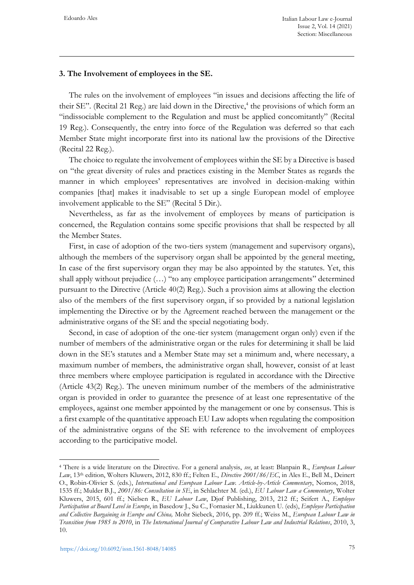## **3. The Involvement of employees in the SE.**

The rules on the involvement of employees "in issues and decisions affecting the life of their SE". (Recital 21 Reg.) are laid down in the Directive,<sup>4</sup> the provisions of which form an "indissociable complement to the Regulation and must be applied concomitantly" (Recital 19 Reg.). Consequently, the entry into force of the Regulation was deferred so that each Member State might incorporate first into its national law the provisions of the Directive (Recital 22 Reg.).

The choice to regulate the involvement of employees within the SE by a Directive is based on "the great diversity of rules and practices existing in the Member States as regards the manner in which employees' representatives are involved in decision-making within companies [that] makes it inadvisable to set up a single European model of employee involvement applicable to the SE" (Recital 5 Dir.).

Nevertheless, as far as the involvement of employees by means of participation is concerned, the Regulation contains some specific provisions that shall be respected by all the Member States.

First, in case of adoption of the two-tiers system (management and supervisory organs), although the members of the supervisory organ shall be appointed by the general meeting, In case of the first supervisory organ they may be also appointed by the statutes. Yet, this shall apply without prejudice (…) "to any employee participation arrangements" determined pursuant to the Directive (Article 40(2) Reg.). Such a provision aims at allowing the election also of the members of the first supervisory organ, if so provided by a national legislation implementing the Directive or by the Agreement reached between the management or the administrative organs of the SE and the special negotiating body.

Second, in case of adoption of the one-tier system (management organ only) even if the number of members of the administrative organ or the rules for determining it shall be laid down in the SE's statutes and a Member State may set a minimum and, where necessary, a maximum number of members, the administrative organ shall, however, consist of at least three members where employee participation is regulated in accordance with the Directive (Article 43(2) Reg.). The uneven minimum number of the members of the administrative organ is provided in order to guarantee the presence of at least one representative of the employees, against one member appointed by the management or one by consensus. This is a first example of the quantitative approach EU Law adopts when regulating the composition of the administrative organs of the SE with reference to the involvement of employees according to the participative model.

<sup>4</sup> There is a wide literature on the Directive. For a general analysis, *see*, at least: Blanpain R., *European Labour Law*, 13th edition, Wolters Kluwers, 2012, 830 ff.; Felten E., *Directive 2001/86/EC*, in Ales E., Bell M., Deinert O., Robin-Olivier S. (eds.), *International and European Labour Law. Article-by-Article Commentary*, Nomos, 2018, 1535 ff.; Mulder B.J., *2001/86: Consultation in SE*, in Schlachter M. (ed.), *EU Labour Law a Commentary*, Wolter Kluwers, 2015, 601 ff.; Nielsen R., *EU Labour Law*, Djøf Publishing, 2013, 212 ff.; Seifert A., *Employee Participation at Board Level in Europe*, in Basedow J., Su C., Fornasier M., Liukkunen U. (eds), *Employee Participation and Collective Bargaining in Europe and China,* Mohr Siebeck, 2016, pp. 209 ff.; Weiss M., *European Labour Law in Transition from 1985 to 2010*, in *The International Journal of Comparative Labour Law and Industrial Relations*, 2010, 3, 10.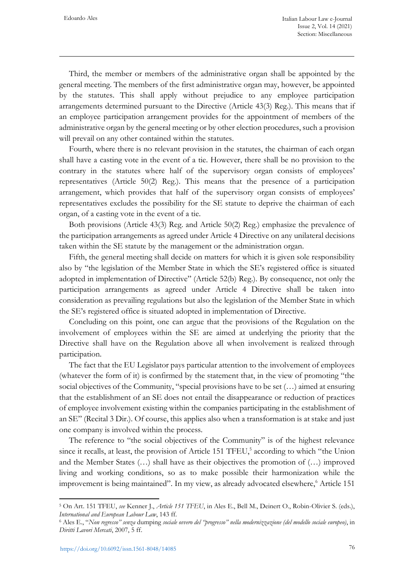Third, the member or members of the administrative organ shall be appointed by the general meeting. The members of the first administrative organ may, however, be appointed by the statutes. This shall apply without prejudice to any employee participation arrangements determined pursuant to the Directive (Article 43(3) Reg.). This means that if an employee participation arrangement provides for the appointment of members of the administrative organ by the general meeting or by other election procedures, such a provision will prevail on any other contained within the statutes.

Fourth, where there is no relevant provision in the statutes, the chairman of each organ shall have a casting vote in the event of a tie. However, there shall be no provision to the contrary in the statutes where half of the supervisory organ consists of employees' representatives (Article 50(2) Reg.). This means that the presence of a participation arrangement, which provides that half of the supervisory organ consists of employees' representatives excludes the possibility for the SE statute to deprive the chairman of each organ, of a casting vote in the event of a tie.

Both provisions (Article 43(3) Reg. and Article 50(2) Reg.) emphasize the prevalence of the participation arrangements as agreed under Article 4 Directive on any unilateral decisions taken within the SE statute by the management or the administration organ.

Fifth, the general meeting shall decide on matters for which it is given sole responsibility also by "the legislation of the Member State in which the SE's registered office is situated adopted in implementation of Directive" (Article 52(b) Reg.). By consequence, not only the participation arrangements as agreed under Article 4 Directive shall be taken into consideration as prevailing regulations but also the legislation of the Member State in which the SE's registered office is situated adopted in implementation of Directive.

Concluding on this point, one can argue that the provisions of the Regulation on the involvement of employees within the SE are aimed at underlying the priority that the Directive shall have on the Regulation above all when involvement is realized through participation.

The fact that the EU Legislator pays particular attention to the involvement of employees (whatever the form of it) is confirmed by the statement that, in the view of promoting "the social objectives of the Community, "special provisions have to be set (…) aimed at ensuring that the establishment of an SE does not entail the disappearance or reduction of practices of employee involvement existing within the companies participating in the establishment of an SE" (Recital 3 Dir.). Of course, this applies also when a transformation is at stake and just one company is involved within the process.

The reference to "the social objectives of the Community" is of the highest relevance since it recalls, at least, the provision of Article 151 TFEU,<sup>5</sup> according to which "the Union and the Member States (…) shall have as their objectives the promotion of (…) improved living and working conditions, so as to make possible their harmonization while the improvement is being maintained". In my view, as already advocated elsewhere, Article 151

<sup>5</sup> On Art. 151 TFEU, *see* Kenner J., *Article 151 TFEU*, in Ales E., Bell M., Deinert O., Robin-Olivier S. (eds.), *International and European Labour Law*, 143 ff.

<sup>6</sup> Ales E., "*Non regresso" senza* dumping *sociale ovvero del "progresso" nella modernizzazione (del modello sociale europeo)*, in *Diritti Lavori Mercati*, 2007, 5 ff.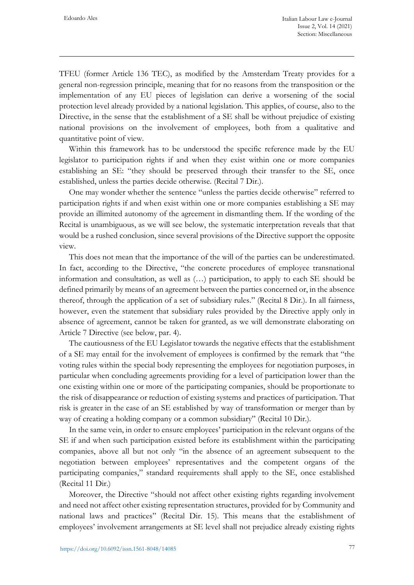TFEU (former Article 136 TEC), as modified by the Amsterdam Treaty provides for a general non-regression principle, meaning that for no reasons from the transposition or the implementation of any EU pieces of legislation can derive a worsening of the social protection level already provided by a national legislation. This applies, of course, also to the Directive, in the sense that the establishment of a SE shall be without prejudice of existing national provisions on the involvement of employees, both from a qualitative and quantitative point of view.

Within this framework has to be understood the specific reference made by the EU legislator to participation rights if and when they exist within one or more companies establishing an SE: "they should be preserved through their transfer to the SE, once established, unless the parties decide otherwise. (Recital 7 Dir.).

One may wonder whether the sentence "unless the parties decide otherwise" referred to participation rights if and when exist within one or more companies establishing a SE may provide an illimited autonomy of the agreement in dismantling them. If the wording of the Recital is unambiguous, as we will see below, the systematic interpretation reveals that that would be a rushed conclusion, since several provisions of the Directive support the opposite view.

This does not mean that the importance of the will of the parties can be underestimated. In fact, according to the Directive, "the concrete procedures of employee transnational information and consultation, as well as (…) participation, to apply to each SE should be defined primarily by means of an agreement between the parties concerned or, in the absence thereof, through the application of a set of subsidiary rules." (Recital 8 Dir.). In all fairness, however, even the statement that subsidiary rules provided by the Directive apply only in absence of agreement, cannot be taken for granted, as we will demonstrate elaborating on Article 7 Directive (see below, par. 4).

The cautiousness of the EU Legislator towards the negative effects that the establishment of a SE may entail for the involvement of employees is confirmed by the remark that "the voting rules within the special body representing the employees for negotiation purposes, in particular when concluding agreements providing for a level of participation lower than the one existing within one or more of the participating companies, should be proportionate to the risk of disappearance or reduction of existing systems and practices of participation. That risk is greater in the case of an SE established by way of transformation or merger than by way of creating a holding company or a common subsidiary" (Recital 10 Dir.).

In the same vein, in order to ensure employees' participation in the relevant organs of the SE if and when such participation existed before its establishment within the participating companies, above all but not only "in the absence of an agreement subsequent to the negotiation between employees' representatives and the competent organs of the participating companies," standard requirements shall apply to the SE, once established (Recital 11 Dir.)

Moreover, the Directive "should not affect other existing rights regarding involvement and need not affect other existing representation structures, provided for by Community and national laws and practices" (Recital Dir. 15). This means that the establishment of employees' involvement arrangements at SE level shall not prejudice already existing rights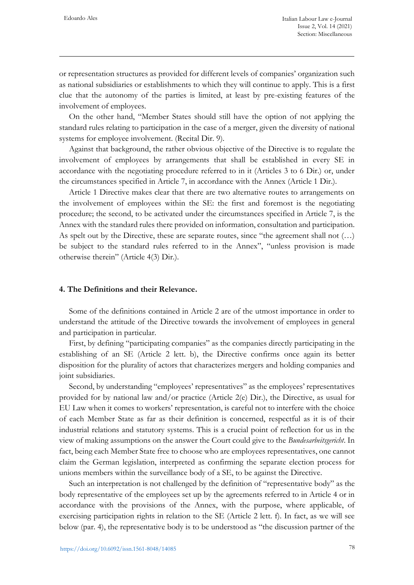or representation structures as provided for different levels of companies' organization such as national subsidiaries or establishments to which they will continue to apply. This is a first clue that the autonomy of the parties is limited, at least by pre-existing features of the involvement of employees.

On the other hand, "Member States should still have the option of not applying the standard rules relating to participation in the case of a merger, given the diversity of national systems for employee involvement. (Recital Dir. 9).

Against that background, the rather obvious objective of the Directive is to regulate the involvement of employees by arrangements that shall be established in every SE in accordance with the negotiating procedure referred to in it (Articles 3 to 6 Dir.) or, under the circumstances specified in Article 7, in accordance with the Annex (Article 1 Dir.).

Article 1 Directive makes clear that there are two alternative routes to arrangements on the involvement of employees within the SE: the first and foremost is the negotiating procedure; the second, to be activated under the circumstances specified in Article 7, is the Annex with the standard rules there provided on information, consultation and participation. As spelt out by the Directive, these are separate routes, since "the agreement shall not (…) be subject to the standard rules referred to in the Annex", "unless provision is made otherwise therein" (Article 4(3) Dir.).

## **4. The Definitions and their Relevance.**

Some of the definitions contained in Article 2 are of the utmost importance in order to understand the attitude of the Directive towards the involvement of employees in general and participation in particular.

First, by defining "participating companies" as the companies directly participating in the establishing of an SE (Article 2 lett. b), the Directive confirms once again its better disposition for the plurality of actors that characterizes mergers and holding companies and joint subsidiaries.

Second, by understanding "employees' representatives" as the employees' representatives provided for by national law and/or practice (Article 2(e) Dir.), the Directive, as usual for EU Law when it comes to workers' representation, is careful not to interfere with the choice of each Member State as far as their definition is concerned, respectful as it is of their industrial relations and statutory systems. This is a crucial point of reflection for us in the view of making assumptions on the answer the Court could give to the *Bundesarbeitsgericht*. In fact, being each Member State free to choose who are employees representatives, one cannot claim the German legislation, interpreted as confirming the separate election process for unions members within the surveillance body of a SE, to be against the Directive.

Such an interpretation is not challenged by the definition of "representative body" as the body representative of the employees set up by the agreements referred to in Article 4 or in accordance with the provisions of the Annex, with the purpose, where applicable, of exercising participation rights in relation to the SE (Article 2 lett. f). In fact, as we will see below (par. 4), the representative body is to be understood as "the discussion partner of the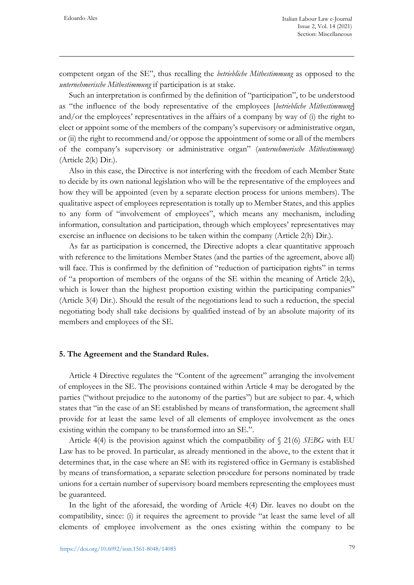competent organ of the SE", thus recalling the *betriebliche Mitbestimmung* as opposed to the *unternehmerische Mitbestimmung* if participation is at stake.

Such an interpretation is confirmed by the definition of "participation", to be understood as "the influence of the body representative of the employees [*betriebliche Mitbestimmung*] and/or the employees' representatives in the affairs of a company by way of (i) the right to elect or appoint some of the members of the company's supervisory or administrative organ, or (ii) the right to recommend and/or oppose the appointment of some or all of the members of the company's supervisory or administrative organ" (*unternehmerische Mitbestimmung*) (Article 2(k) Dir.).

Also in this case, the Directive is not interfering with the freedom of each Member State to decide by its own national legislation who will be the representative of the employees and how they will be appointed (even by a separate election process for unions members). The qualitative aspect of employees representation is totally up to Member States, and this applies to any form of "involvement of employees", which means any mechanism, including information, consultation and participation, through which employees' representatives may exercise an influence on decisions to be taken within the company (Article 2(h) Dir.).

As far as participation is concerned, the Directive adopts a clear quantitative approach with reference to the limitations Member States (and the parties of the agreement, above all) will face. This is confirmed by the definition of "reduction of participation rights" in terms of "a proportion of members of the organs of the SE within the meaning of Article  $2(k)$ , which is lower than the highest proportion existing within the participating companies" (Article 3(4) Dir.). Should the result of the negotiations lead to such a reduction, the special negotiating body shall take decisions by qualified instead of by an absolute majority of its members and employees of the SE.

#### **5. The Agreement and the Standard Rules.**

Article 4 Directive regulates the "Content of the agreement" arranging the involvement of employees in the SE. The provisions contained within Article 4 may be derogated by the parties ("without prejudice to the autonomy of the parties") but are subject to par. 4, which states that "in the case of an SE established by means of transformation, the agreement shall provide for at least the same level of all elements of employee involvement as the ones existing within the company to be transformed into an SE.".

Article 4(4) is the provision against which the compatibility of § 21(6) *SEBG* with EU Law has to be proved. In particular, as already mentioned in the above, to the extent that it determines that, in the case where an SE with its registered office in Germany is established by means of transformation, a separate selection procedure for persons nominated by trade unions for a certain number of supervisory board members representing the employees must be guaranteed.

In the light of the aforesaid, the wording of Article 4(4) Dir. leaves no doubt on the compatibility, since: (i) it requires the agreement to provide "at least the same level of all elements of employee involvement as the ones existing within the company to be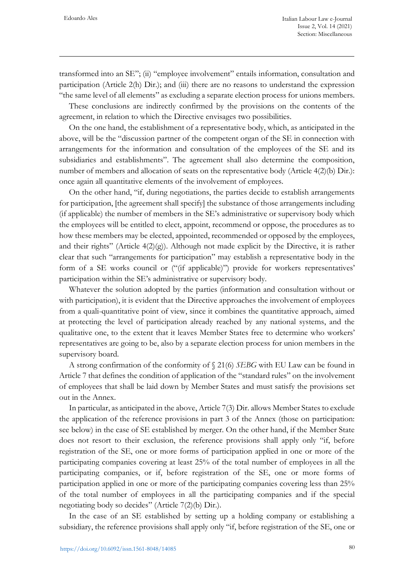transformed into an SE"; (ii) "employee involvement" entails information, consultation and participation (Article 2(h) Dir.); and (iii) there are no reasons to understand the expression "the same level of all elements" as excluding a separate election process for unions members.

These conclusions are indirectly confirmed by the provisions on the contents of the agreement, in relation to which the Directive envisages two possibilities.

On the one hand, the establishment of a representative body, which, as anticipated in the above, will be the "discussion partner of the competent organ of the SE in connection with arrangements for the information and consultation of the employees of the SE and its subsidiaries and establishments". The agreement shall also determine the composition, number of members and allocation of seats on the representative body (Article 4(2)(b) Dir.): once again all quantitative elements of the involvement of employees.

On the other hand, "if, during negotiations, the parties decide to establish arrangements for participation, [the agreement shall specify] the substance of those arrangements including (if applicable) the number of members in the SE's administrative or supervisory body which the employees will be entitled to elect, appoint, recommend or oppose, the procedures as to how these members may be elected, appointed, recommended or opposed by the employees, and their rights" (Article  $4(2)(g)$ ). Although not made explicit by the Directive, it is rather clear that such "arrangements for participation" may establish a representative body in the form of a SE works council or ("(if applicable)") provide for workers representatives' participation within the SE's administrative or supervisory body.

Whatever the solution adopted by the parties (information and consultation without or with participation), it is evident that the Directive approaches the involvement of employees from a quali-quantitative point of view, since it combines the quantitative approach, aimed at protecting the level of participation already reached by any national systems, and the qualitative one, to the extent that it leaves Member States free to determine who workers' representatives are going to be, also by a separate election process for union members in the supervisory board.

A strong confirmation of the conformity of § 21(6) *SEBG* with EU Law can be found in Article 7 that defines the condition of application of the "standard rules" on the involvement of employees that shall be laid down by Member States and must satisfy the provisions set out in the Annex.

In particular, as anticipated in the above, Article 7(3) Dir. allows Member States to exclude the application of the reference provisions in part 3 of the Annex (those on participation: see below) in the case of SE established by merger. On the other hand, if the Member State does not resort to their exclusion, the reference provisions shall apply only "if, before registration of the SE, one or more forms of participation applied in one or more of the participating companies covering at least 25% of the total number of employees in all the participating companies, or if, before registration of the SE, one or more forms of participation applied in one or more of the participating companies covering less than 25% of the total number of employees in all the participating companies and if the special negotiating body so decides" (Article 7(2)(b) Dir.).

In the case of an SE established by setting up a holding company or establishing a subsidiary, the reference provisions shall apply only "if, before registration of the SE, one or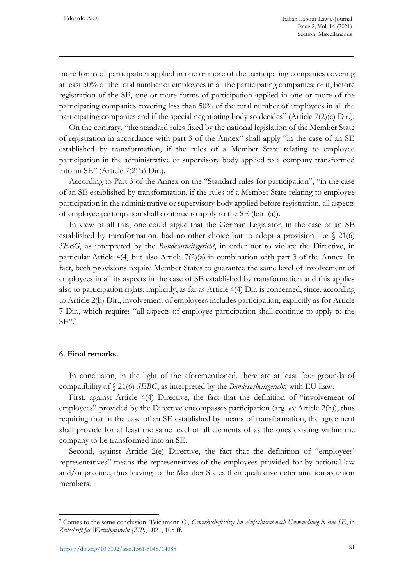more forms of participation applied in one or more of the participating companies covering at least 50% of the total number of employees in all the participating companies; or if, before registration of the SE, one or more forms of participation applied in one or more of the participating companies covering less than 50% of the total number of employees in all the participating companies and if the special negotiating body so decides" (Article 7(2)(c) Dir.).

On the contrary, "the standard rules fixed by the national legislation of the Member State of registration in accordance with part 3 of the Annex" shall apply "in the case of an SE established by transformation, if the rules of a Member State relating to employee participation in the administrative or supervisory body applied to a company transformed into an SE" (Article 7(2)(a) Dir.).

According to Part 3 of the Annex on the "Standard rules for participation", "in the case of an SE established by transformation, if the rules of a Member State relating to employee participation in the administrative or supervisory body applied before registration, all aspects of employee participation shall continue to apply to the SE (lett. (a)).

In view of all this, one could argue that the German Legislator, in the case of an SE established by transformation, had no other choice but to adopt a provision like  $\S$  21(6) *SEBG*, as interpreted by the *Bundesarbeitsgericht*, in order not to violate the Directive, in particular Article 4(4) but also Article 7(2)(a) in combination with part 3 of the Annex. In fact, both provisions require Member States to guarantee the same level of involvement of employees in all its aspects in the case of SE established by transformation and this applies also to participation rights: implicitly, as far as Article 4(4) Dir. is concerned, since, according to Article 2(h) Dir., involvement of employees includes participation; explicitly as for Article 7 Dir., which requires "all aspects of employee participation shall continue to apply to the  $SE"$ .

#### **6. Final remarks.**

In conclusion, in the light of the aforementioned, there are at least four grounds of compatibility of § 21(6) *SEBG*, as interpreted by the *Bundesarbeitsgericht*, with EU Law.

First, against Article 4(4) Directive, the fact that the definition of "involvement of employees" provided by the Directive encompasses participation (arg. *ex* Article 2(h)), thus requiring that in the case of an SE established by means of transformation, the agreement shall provide for at least the same level of all elements of as the ones existing within the company to be transformed into an SE.

Second, against Article 2(e) Directive, the fact that the definition of "employees' representatives" means the representatives of the employees provided for by national law and/or practice, thus leaving to the Member States their qualitative determination as union members.

<sup>7</sup> Comes to the same conclusion, Teichmann C., *Gewerkschaftssitze im Aufsichtsrat nach Umwandlung in eine SE*, in *Zeitschrift für Wirtschaftsrecht (ZIP)*, 2021, 105 ff.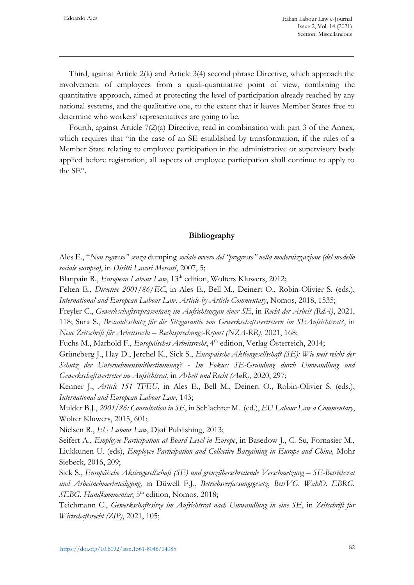Third, against Article 2(k) and Article 3(4) second phrase Directive, which approach the involvement of employees from a quali-quantitative point of view, combining the quantitative approach, aimed at protecting the level of participation already reached by any national systems, and the qualitative one, to the extent that it leaves Member States free to determine who workers' representatives are going to be.

Fourth, against Article 7(2)(a) Directive, read in combination with part 3 of the Annex, which requires that "in the case of an SE established by transformation, if the rules of a Member State relating to employee participation in the administrative or supervisory body applied before registration, all aspects of employee participation shall continue to apply to the SE".

## **Bibliography**

Ales E., "*Non regresso" senza* dumping *sociale ovvero del "progresso" nella modernizzazione (del modello sociale europeo)*, in *Diritti Lavori Mercati*, 2007, 5;

Blanpain R., *European Labour Law*, 13<sup>th</sup> edition, Wolters Kluwers, 2012;

Felten E., *Directive 2001/86/EC*, in Ales E., Bell M., Deinert O., Robin-Olivier S. (eds.), *International and European Labour Law. Article-by-Article Commentary*, Nomos, 2018, 1535;

Freyler C., *Gewerkschaftsrepräsentanz im Aufsichtsorgan einer SE*, in *Recht der Arbeit (RdA)*, 2021,

118; Sura S., *Bestandsschutz für die Sitzgarantie von Gewerkschaftsvertretern im SEAufsichtsrat?*, in *Neue Zeitschrift für Arbeitsrecht – Rechtsprechungs-Report (NZA-RR)*, 2021, 168;

Fuchs M., Marhold F., *Europäisches Arbeitsrecht*, 4<sup>th</sup> edition, Verlag Österreich, 2014;

Grüneberg J., Hay D., Jerchel K., Sick S., *Europäische Aktiengesellschaft (SE): Wie weit reicht der Schutz der Unternehmensmitbestimmung? - Im Fokus: SE-Gründung durch Umwandlung und Gewerkschaftsvertreter im Aufsichtsrat*, in *Arbeit und Recht (AuR)*, 2020, 297;

Kenner J., *Article 151 TFEU*, in Ales E., Bell M., Deinert O., Robin-Olivier S. (eds.), *International and European Labour Law*, 143;

Mulder B.J., *2001/86: Consultation in SE*, in Schlachter M. (ed.), *EU Labour Law a Commentary*, Wolter Kluwers, 2015, 601;

Nielsen R., *EU Labour Law*, Djøf Publishing, 2013;

Seifert A., *Employee Participation at Board Level in Europe*, in Basedow J., C. Su, Fornasier M., Liukkunen U. (eds), *Employee Participation and Collective Bargaining in Europe and China,* Mohr Siebeck, 2016, 209;

Sick S., *Europäische Aktiengesellschaft (SE) und grenzüberschreitende Verschmelzung – SE-Betriebsrat und Arbeitnehmerbeteiligung*, in Düwell F.J., *Betriebsverfassungsgesetz. BetrVG. WahlO. EBRG. SEBG. Handkommentar*, 5<sup>th</sup> edition, Nomos, 2018;

Teichmann C., *Gewerkschaftssitze im Aufsichtsrat nach Umwandlung in eine SE*, in *Zeitschrift für Wirtschaftsrecht (ZIP)*, 2021, 105;